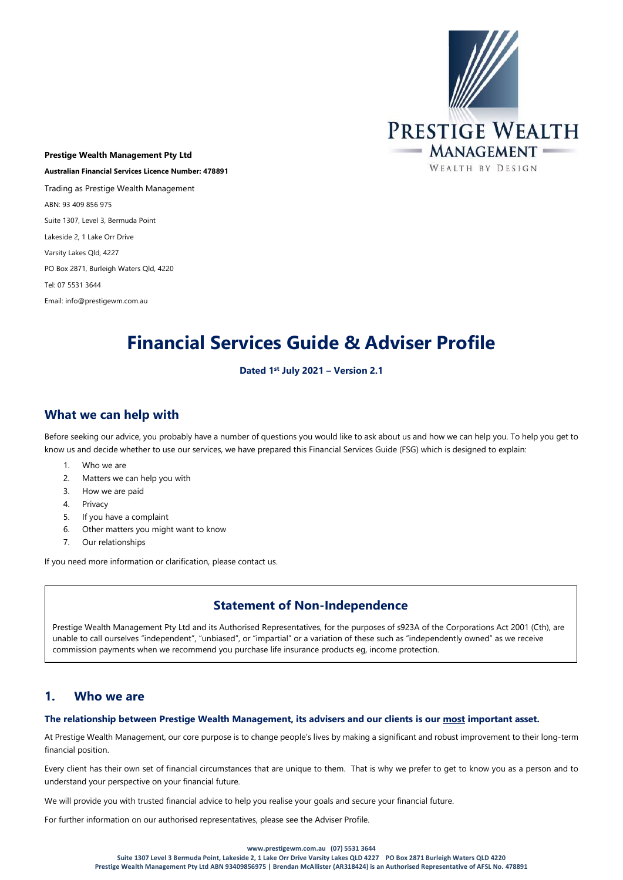

Prestige Wealth Management Pty Ltd Australian Financial Services Licence Number: 478891 Trading as Prestige Wealth Management ABN: 93 409 856 975 Suite 1307, Level 3, Bermuda Point Lakeside 2, 1 Lake Orr Drive Varsity Lakes Qld, 4227 PO Box 2871, Burleigh Waters Qld, 4220 Tel: 07 5531 3644 Email: info@prestigewm.com.au

# Financial Services Guide & Adviser Profile

#### Dated 1st July 2021 – Version 2.1

# What we can help with

Before seeking our advice, you probably have a number of questions you would like to ask about us and how we can help you. To help you get to know us and decide whether to use our services, we have prepared this Financial Services Guide (FSG) which is designed to explain:

- 1. Who we are
- 2. Matters we can help you with
- 3. How we are paid
- 4. Privacy
- 5. If you have a complaint
- 6. Other matters you might want to know
- 7. Our relationships

If you need more information or clarification, please contact us.

# Statement of Non-Independence

Prestige Wealth Management Pty Ltd and its Authorised Representatives, for the purposes of s923A of the Corporations Act 2001 (Cth), are unable to call ourselves "independent", "unbiased", or "impartial" or a variation of these such as "independently owned" as we receive commission payments when we recommend you purchase life insurance products eg, income protection.

## 1. Who we are

#### The relationship between Prestige Wealth Management, its advisers and our clients is our most important asset.

At Prestige Wealth Management, our core purpose is to change people's lives by making a significant and robust improvement to their long-term financial position.

Every client has their own set of financial circumstances that are unique to them. That is why we prefer to get to know you as a person and to understand your perspective on your financial future.

We will provide you with trusted financial advice to help you realise your goals and secure your financial future.

For further information on our authorised representatives, please see the Adviser Profile.

#### www.prestigewm.com.au (07) 5531 3644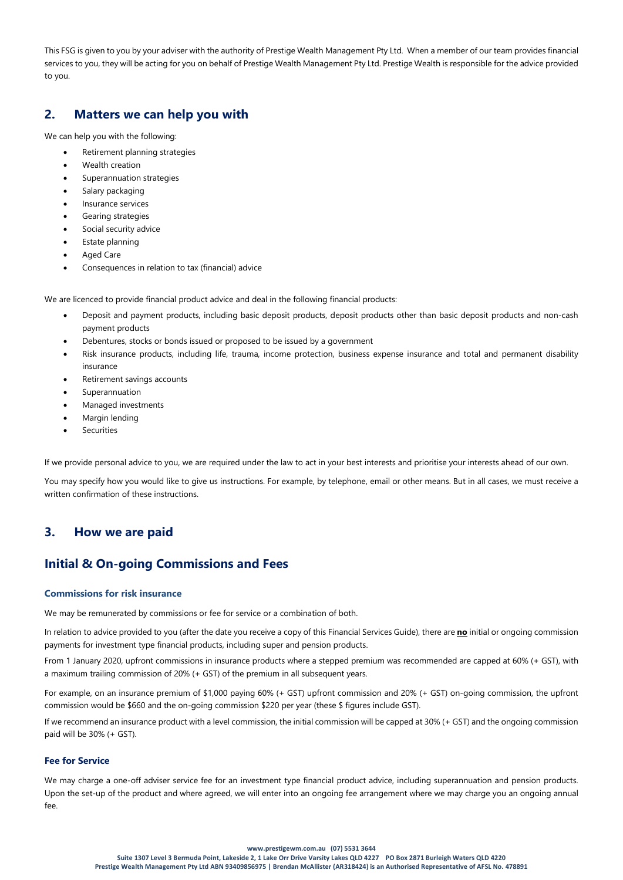This FSG is given to you by your adviser with the authority of Prestige Wealth Management Pty Ltd. When a member of our team provides financial services to you, they will be acting for you on behalf of Prestige Wealth Management Pty Ltd. Prestige Wealth is responsible for the advice provided to you.

## 2. Matters we can help you with

We can help you with the following:

- Retirement planning strategies
- Wealth creation
- Superannuation strategies
- Salary packaging
- Insurance services
- Gearing strategies
- Social security advice
- Estate planning
- Aged Care
- Consequences in relation to tax (financial) advice

We are licenced to provide financial product advice and deal in the following financial products:

- Deposit and payment products, including basic deposit products, deposit products other than basic deposit products and non-cash payment products
- Debentures, stocks or bonds issued or proposed to be issued by a government
- Risk insurance products, including life, trauma, income protection, business expense insurance and total and permanent disability insurance
- Retirement savings accounts
- Superannuation
- Managed investments
- Margin lending
- **Securities**

If we provide personal advice to you, we are required under the law to act in your best interests and prioritise your interests ahead of our own.

You may specify how you would like to give us instructions. For example, by telephone, email or other means. But in all cases, we must receive a written confirmation of these instructions.

# 3. How we are paid

# Initial & On-going Commissions and Fees

#### Commissions for risk insurance

We may be remunerated by commissions or fee for service or a combination of both.

In relation to advice provided to you (after the date you receive a copy of this Financial Services Guide), there are no initial or ongoing commission payments for investment type financial products, including super and pension products.

From 1 January 2020, upfront commissions in insurance products where a stepped premium was recommended are capped at 60% (+ GST), with a maximum trailing commission of 20% (+ GST) of the premium in all subsequent years.

For example, on an insurance premium of \$1,000 paying 60% (+ GST) upfront commission and 20% (+ GST) on-going commission, the upfront commission would be \$660 and the on-going commission \$220 per year (these \$ figures include GST).

If we recommend an insurance product with a level commission, the initial commission will be capped at 30% (+ GST) and the ongoing commission paid will be 30% (+ GST).

#### Fee for Service

We may charge a one-off adviser service fee for an investment type financial product advice, including superannuation and pension products. Upon the set-up of the product and where agreed, we will enter into an ongoing fee arrangement where we may charge you an ongoing annual fee.

#### www.prestigewm.com.au (07) 5531 3644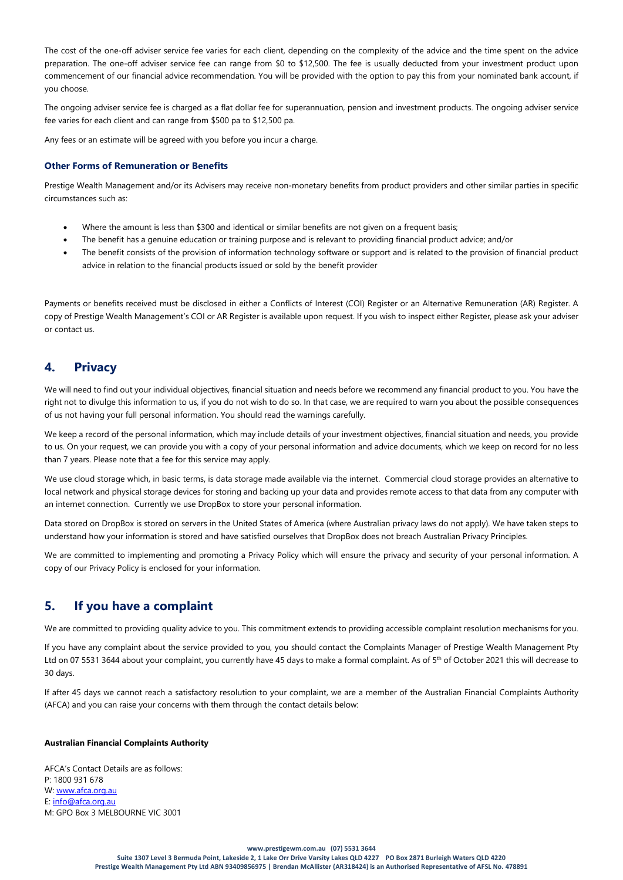The cost of the one-off adviser service fee varies for each client, depending on the complexity of the advice and the time spent on the advice preparation. The one-off adviser service fee can range from \$0 to \$12,500. The fee is usually deducted from your investment product upon commencement of our financial advice recommendation. You will be provided with the option to pay this from your nominated bank account, if you choose.

The ongoing adviser service fee is charged as a flat dollar fee for superannuation, pension and investment products. The ongoing adviser service fee varies for each client and can range from \$500 pa to \$12,500 pa.

Any fees or an estimate will be agreed with you before you incur a charge.

#### Other Forms of Remuneration or Benefits

Prestige Wealth Management and/or its Advisers may receive non-monetary benefits from product providers and other similar parties in specific circumstances such as:

- Where the amount is less than \$300 and identical or similar benefits are not given on a frequent basis;
- The benefit has a genuine education or training purpose and is relevant to providing financial product advice; and/or
- The benefit consists of the provision of information technology software or support and is related to the provision of financial product advice in relation to the financial products issued or sold by the benefit provider

Payments or benefits received must be disclosed in either a Conflicts of Interest (COI) Register or an Alternative Remuneration (AR) Register. A copy of Prestige Wealth Management's COI or AR Register is available upon request. If you wish to inspect either Register, please ask your adviser or contact us.

## 4. Privacy

We will need to find out your individual objectives, financial situation and needs before we recommend any financial product to you. You have the right not to divulge this information to us, if you do not wish to do so. In that case, we are required to warn you about the possible consequences of us not having your full personal information. You should read the warnings carefully.

We keep a record of the personal information, which may include details of your investment objectives, financial situation and needs, you provide to us. On your request, we can provide you with a copy of your personal information and advice documents, which we keep on record for no less than 7 years. Please note that a fee for this service may apply.

We use cloud storage which, in basic terms, is data storage made available via the internet. Commercial cloud storage provides an alternative to local network and physical storage devices for storing and backing up your data and provides remote access to that data from any computer with an internet connection. Currently we use DropBox to store your personal information.

Data stored on DropBox is stored on servers in the United States of America (where Australian privacy laws do not apply). We have taken steps to understand how your information is stored and have satisfied ourselves that DropBox does not breach Australian Privacy Principles.

We are committed to implementing and promoting a Privacy Policy which will ensure the privacy and security of your personal information. A copy of our Privacy Policy is enclosed for your information.

## 5. If you have a complaint

We are committed to providing quality advice to you. This commitment extends to providing accessible complaint resolution mechanisms for you.

If you have any complaint about the service provided to you, you should contact the Complaints Manager of Prestige Wealth Management Pty Ltd on 07 5531 3644 about your complaint, you currently have 45 days to make a formal complaint. As of 5<sup>th</sup> of October 2021 this will decrease to 30 days.

If after 45 days we cannot reach a satisfactory resolution to your complaint, we are a member of the Australian Financial Complaints Authority (AFCA) and you can raise your concerns with them through the contact details below:

#### Australian Financial Complaints Authority

AFCA's Contact Details are as follows: P: 1800 931 678 W: www.afca.org.au E: info@afca.org.au M: GPO Box 3 MELBOURNE VIC 3001

#### www.prestigewm.com.au (07) 5531 3644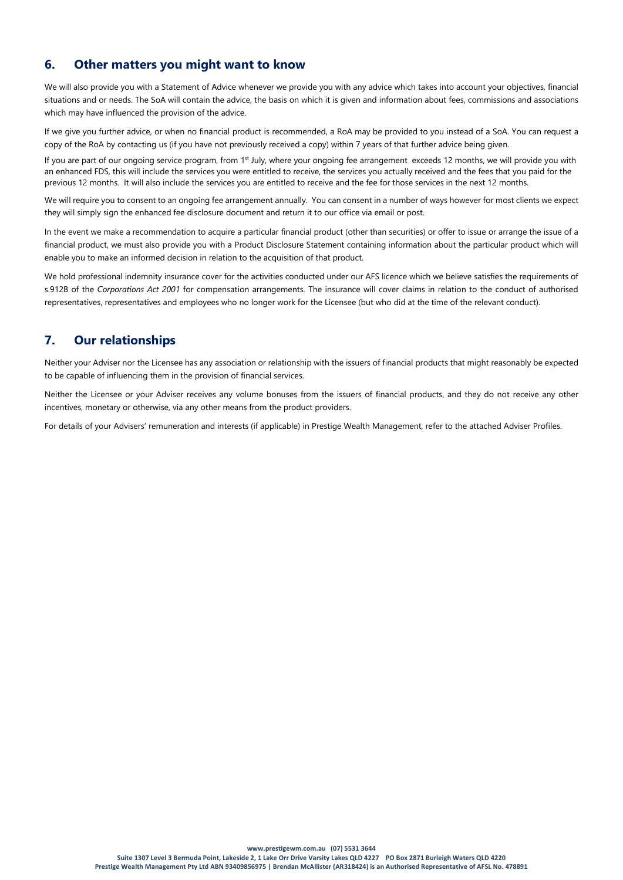# 6. Other matters you might want to know

We will also provide you with a Statement of Advice whenever we provide you with any advice which takes into account your objectives, financial situations and or needs. The SoA will contain the advice, the basis on which it is given and information about fees, commissions and associations which may have influenced the provision of the advice.

If we give you further advice, or when no financial product is recommended, a RoA may be provided to you instead of a SoA. You can request a copy of the RoA by contacting us (if you have not previously received a copy) within 7 years of that further advice being given.

If you are part of our ongoing service program, from 1<sup>st</sup> July, where your ongoing fee arrangement exceeds 12 months, we will provide you with an enhanced FDS, this will include the services you were entitled to receive, the services you actually received and the fees that you paid for the previous 12 months. It will also include the services you are entitled to receive and the fee for those services in the next 12 months.

We will require you to consent to an ongoing fee arrangement annually. You can consent in a number of ways however for most clients we expect they will simply sign the enhanced fee disclosure document and return it to our office via email or post.

In the event we make a recommendation to acquire a particular financial product (other than securities) or offer to issue or arrange the issue of a financial product, we must also provide you with a Product Disclosure Statement containing information about the particular product which will enable you to make an informed decision in relation to the acquisition of that product.

We hold professional indemnity insurance cover for the activities conducted under our AFS licence which we believe satisfies the requirements of s.912B of the Corporations Act 2001 for compensation arrangements. The insurance will cover claims in relation to the conduct of authorised representatives, representatives and employees who no longer work for the Licensee (but who did at the time of the relevant conduct).

# 7. Our relationships

Neither your Adviser nor the Licensee has any association or relationship with the issuers of financial products that might reasonably be expected to be capable of influencing them in the provision of financial services.

Neither the Licensee or your Adviser receives any volume bonuses from the issuers of financial products, and they do not receive any other incentives, monetary or otherwise, via any other means from the product providers.

For details of your Advisers' remuneration and interests (if applicable) in Prestige Wealth Management, refer to the attached Adviser Profiles.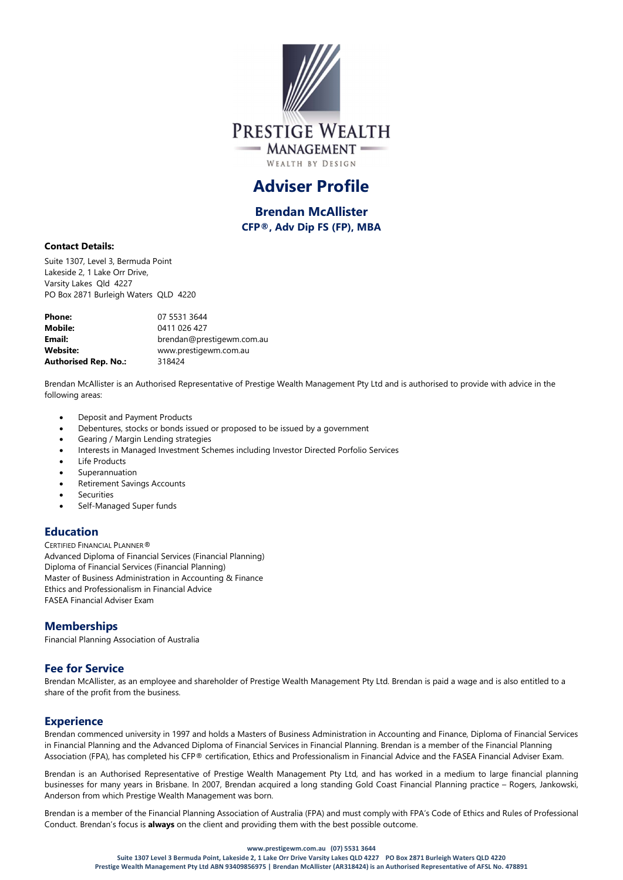

# Adviser Profile

Brendan McAllister CFP®, Adv Dip FS (FP), MBA

#### Contact Details:

Suite 1307, Level 3, Bermuda Point Lakeside 2, 1 Lake Orr Drive, Varsity Lakes Qld 4227 PO Box 2871 Burleigh Waters QLD 4220

| <b>Phone:</b>               | 07 5531 3644              |
|-----------------------------|---------------------------|
| <b>Mobile:</b>              | 0411 026 427              |
| Email:                      | brendan@prestigewm.com.au |
| <b>Website:</b>             | www.prestigewm.com.au     |
| <b>Authorised Rep. No.:</b> | 318424                    |

Brendan McAllister is an Authorised Representative of Prestige Wealth Management Pty Ltd and is authorised to provide with advice in the following areas:

- Deposit and Payment Products
- Debentures, stocks or bonds issued or proposed to be issued by a government
- Gearing / Margin Lending strategies
- Interests in Managed Investment Schemes including Investor Directed Porfolio Services
- Life Products
- Superannuation
- Retirement Savings Accounts
- Securities
- Self-Managed Super funds

## Education

CERTIFIED FINANCIAL PLANNER®

Advanced Diploma of Financial Services (Financial Planning) Diploma of Financial Services (Financial Planning) Master of Business Administration in Accounting & Finance Ethics and Professionalism in Financial Advice FASEA Financial Adviser Exam

## **Memberships**

Financial Planning Association of Australia

## Fee for Service

Brendan McAllister, as an employee and shareholder of Prestige Wealth Management Pty Ltd. Brendan is paid a wage and is also entitled to a share of the profit from the business.

## **Experience**

Brendan commenced university in 1997 and holds a Masters of Business Administration in Accounting and Finance, Diploma of Financial Services in Financial Planning and the Advanced Diploma of Financial Services in Financial Planning. Brendan is a member of the Financial Planning Association (FPA), has completed his CFP® certification, Ethics and Professionalism in Financial Advice and the FASEA Financial Adviser Exam.

Brendan is an Authorised Representative of Prestige Wealth Management Pty Ltd, and has worked in a medium to large financial planning businesses for many years in Brisbane. In 2007, Brendan acquired a long standing Gold Coast Financial Planning practice – Rogers, Jankowski, Anderson from which Prestige Wealth Management was born.

Brendan is a member of the Financial Planning Association of Australia (FPA) and must comply with FPA's Code of Ethics and Rules of Professional Conduct. Brendan's focus is **always** on the client and providing them with the best possible outcome.

#### www.prestigewm.com.au (07) 5531 3644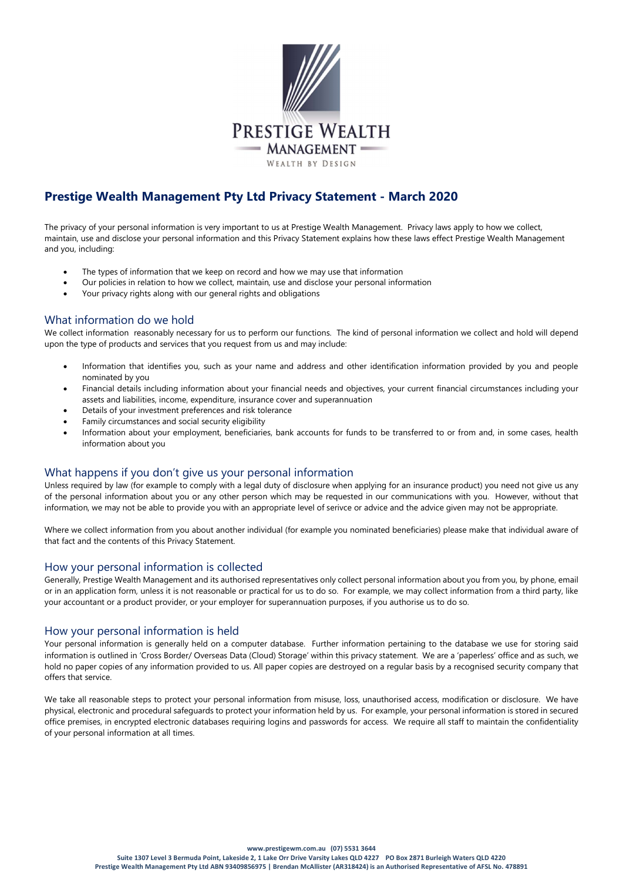

# Prestige Wealth Management Pty Ltd Privacy Statement - March 2020

The privacy of your personal information is very important to us at Prestige Wealth Management. Privacy laws apply to how we collect, maintain, use and disclose your personal information and this Privacy Statement explains how these laws effect Prestige Wealth Management and you, including:

- The types of information that we keep on record and how we may use that information
- Our policies in relation to how we collect, maintain, use and disclose your personal information
- Your privacy rights along with our general rights and obligations

## What information do we hold

We collect information reasonably necessary for us to perform our functions. The kind of personal information we collect and hold will depend upon the type of products and services that you request from us and may include:

- Information that identifies you, such as your name and address and other identification information provided by you and people nominated by you
- Financial details including information about your financial needs and objectives, your current financial circumstances including your assets and liabilities, income, expenditure, insurance cover and superannuation
- Details of your investment preferences and risk tolerance
- Family circumstances and social security eligibility
- Information about your employment, beneficiaries, bank accounts for funds to be transferred to or from and, in some cases, health information about you

## What happens if you don't give us your personal information

Unless required by law (for example to comply with a legal duty of disclosure when applying for an insurance product) you need not give us any of the personal information about you or any other person which may be requested in our communications with you. However, without that information, we may not be able to provide you with an appropriate level of serivce or advice and the advice given may not be appropriate.

Where we collect information from you about another individual (for example you nominated beneficiaries) please make that individual aware of that fact and the contents of this Privacy Statement.

#### How your personal information is collected

Generally, Prestige Wealth Management and its authorised representatives only collect personal information about you from you, by phone, email or in an application form, unless it is not reasonable or practical for us to do so. For example, we may collect information from a third party, like your accountant or a product provider, or your employer for superannuation purposes, if you authorise us to do so.

## How your personal information is held

Your personal information is generally held on a computer database. Further information pertaining to the database we use for storing said information is outlined in 'Cross Border/ Overseas Data (Cloud) Storage' within this privacy statement. We are a 'paperless' office and as such, we hold no paper copies of any information provided to us. All paper copies are destroyed on a regular basis by a recognised security company that offers that service.

We take all reasonable steps to protect your personal information from misuse, loss, unauthorised access, modification or disclosure. We have physical, electronic and procedural safeguards to protect your information held by us. For example, your personal information is stored in secured office premises, in encrypted electronic databases requiring logins and passwords for access. We require all staff to maintain the confidentiality of your personal information at all times.